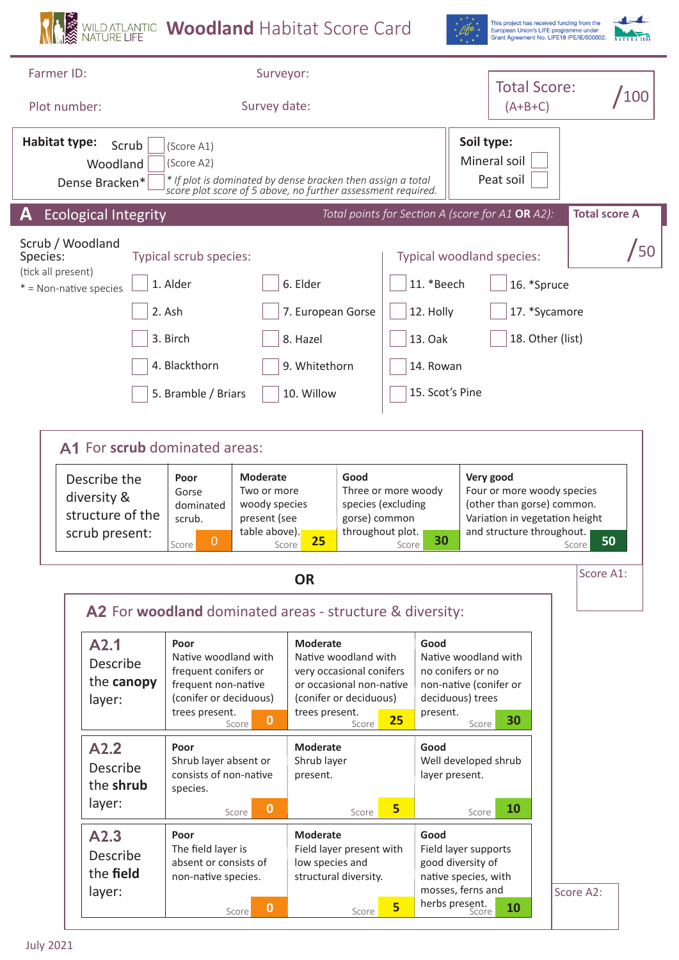**WAGO STANDATLANTIC Woodland** Habitat Score Card



This project has received funding from the<br>European Union's LIFE programme under<br>Grant Agreement No. LIFE18 IPE/IE/000002.<br>WAT URA 2000

 $\overline{\mathbf{1}}$ 

| Farmer ID:<br>Plot number:                                                                                                                                                                                                                                         | Surveyor:<br>Survey date:                                                                                                                                                                                                                                               |                                                                                                                                                                                                    | <b>Total Score:</b><br>$(A+B+C)$                                                                                                   | /100                                                                                  |                                                                                                                                                     |  |
|--------------------------------------------------------------------------------------------------------------------------------------------------------------------------------------------------------------------------------------------------------------------|-------------------------------------------------------------------------------------------------------------------------------------------------------------------------------------------------------------------------------------------------------------------------|----------------------------------------------------------------------------------------------------------------------------------------------------------------------------------------------------|------------------------------------------------------------------------------------------------------------------------------------|---------------------------------------------------------------------------------------|-----------------------------------------------------------------------------------------------------------------------------------------------------|--|
| <b>Habitat type:</b><br>Scrub<br>Woodland<br>Dense Bracken*                                                                                                                                                                                                        | (Score A1)<br>(Score A2)<br>* If plot is dominated by dense bracken then assign a total<br>score plot score of 5 above, no further assessment required.                                                                                                                 |                                                                                                                                                                                                    |                                                                                                                                    | Soil type:<br>Mineral soil<br>Peat soil                                               |                                                                                                                                                     |  |
| <b>Ecological Integrity</b>                                                                                                                                                                                                                                        |                                                                                                                                                                                                                                                                         |                                                                                                                                                                                                    |                                                                                                                                    | Total points for Section A (score for A1 OR A2):                                      | <b>Total score A</b>                                                                                                                                |  |
| Scrub / Woodland<br>Species:<br>(tick all present)<br>$*$ = Non-native species                                                                                                                                                                                     | Typical scrub species:<br>1. Alder<br>2. Ash<br>3. Birch<br>4. Blackthorn                                                                                                                                                                                               | 6. Elder<br>7. European Gorse<br>8. Hazel<br>9. Whitethorn                                                                                                                                         | 11. *Beech<br>12. Holly<br>13. Oak<br>14. Rowan                                                                                    | Typical woodland species:<br>16. *Spruce<br>17. *Sycamore<br>18. Other (list)         | $\sqrt{50}$                                                                                                                                         |  |
|                                                                                                                                                                                                                                                                    | 5. Bramble / Briars                                                                                                                                                                                                                                                     | 10. Willow                                                                                                                                                                                         | 15. Scot's Pine                                                                                                                    |                                                                                       |                                                                                                                                                     |  |
| A1 For scrub dominated areas:<br><b>Moderate</b><br>Describe the<br>Poor<br>Two or more<br>Gorse<br>diversity &<br>woody species<br>dominated<br>structure of the<br>present (see<br>scrub.<br>table above).<br>scrub present:<br>$\overline{0}$<br>Score<br>Score |                                                                                                                                                                                                                                                                         | Good<br>25                                                                                                                                                                                         | Three or more woody<br>species (excluding<br>gorse) common<br>throughout plot.<br>30<br>Score                                      |                                                                                       | Very good<br>Four or more woody species<br>(other than gorse) common.<br>Variation in vegetation height<br>and structure throughout.<br>50<br>Score |  |
|                                                                                                                                                                                                                                                                    |                                                                                                                                                                                                                                                                         | OR                                                                                                                                                                                                 |                                                                                                                                    |                                                                                       | Score A1:                                                                                                                                           |  |
| A2.1<br>Describe<br>the canopy<br>layer:<br>A2.2<br>Describe                                                                                                                                                                                                       | A2 For woodland dominated areas - structure & diversity:<br>Poor<br>Native woodland with<br>frequent conifers or<br>frequent non-native<br>(conifer or deciduous)<br>trees present.<br>$\mathbf{0}$<br>Score<br>Poor<br>Shrub layer absent or<br>consists of non-native | <b>Moderate</b><br>Native woodland with<br>very occasional conifers<br>or occasional non-native<br>(conifer or deciduous)<br>trees present.<br>Score<br><b>Moderate</b><br>Shrub layer<br>present. | Good<br>no conifers or no<br>deciduous) trees<br>present.<br>25<br>Good<br>layer present.                                          | Native woodland with<br>non-native (conifer or<br>30<br>Score<br>Well developed shrub |                                                                                                                                                     |  |
| the shrub<br>layer:                                                                                                                                                                                                                                                | species.<br>$\mathbf 0$<br>Score                                                                                                                                                                                                                                        | Score                                                                                                                                                                                              | 5                                                                                                                                  | 10<br>Score                                                                           |                                                                                                                                                     |  |
| A2.3<br>Describe<br>the field<br>layer:                                                                                                                                                                                                                            | Poor<br>The field layer is<br>absent or consists of<br>non-native species.<br>$\mathbf{0}$<br>Score                                                                                                                                                                     | <b>Moderate</b><br>Field layer present with<br>low species and<br>structural diversity.<br>Score                                                                                                   | Good<br>Field layer supports<br>good diversity of<br>native species, with<br>mosses, ferns and<br>herbs present.<br>5 <sub>1</sub> | 10                                                                                    | Score A2:                                                                                                                                           |  |
| <b>July 2021</b>                                                                                                                                                                                                                                                   |                                                                                                                                                                                                                                                                         |                                                                                                                                                                                                    |                                                                                                                                    |                                                                                       |                                                                                                                                                     |  |